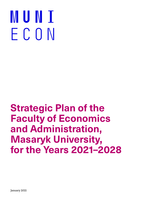# **MUNI** ECON

### **Strategic Plan of the Faculty of Economics and Administration, Masaryk University, for the Years 2021–2028**

January 2021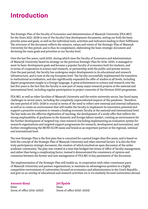### **Introduction**

The Strategic Plan of the Faculty of Economics and Administration of Masaryk University (FEA MU) for the Years 2021–2028 is one of the faculty's key development documents, setting out both the basic priority areas and goals, as well as the individual tools, activities and indicators leading to their fulfilment. The structure of the document reflects the mission, values and vision of the Strategic Plan of Masaryk University for this period, and is thus its complement, elaborating the basic strategic document and declaring the main goals and priorities at our faculty level.

Over the last five years, until 2020, during which time the Faculty of Economics and Administration of Masaryk University based its strategy on the previous Strategic Plan for 2016–2020, it managed to meet its basic development goals and became a popular faculty of economics both for students, and in terms of cooperation in science and research, or partnership with the public and private sectors. Over the past period, the faculty has undergone major developments in its educational and research infrastructure, and is now at the top European level. The faculty successfully implemented the transition to institutional accreditation, and also significantly expanded the offer of studies at all levels, including degree programmes taught in a foreign language. A great achievement in science and research over the last five years is the fact that the faculty is now part of many major research projects at the national and international level, including regular participation in project consortia of the Horizon 2020 programme.

FEA MU, as well as other faculties of Masaryk University and the entire university sector, has faced many challenges in recent years, including the completely unprecedented impacts of the pandemic. Therefore, the next period of 2021–2028 is crucial in terms of the need to reflect new external and internal influences, as well as to create an environment that will enable the faculty to implement its innovation potential and support a proactive ecosystem to remain a leading economic faculty at the national and international level. The key tasks are the effective digitization of teaching, the development of a study offer that reflects the strong employability of graduates in the domestic and foreign labour market, creating an environment for the further development of targeted top‑class research (including implementing an evaluation system for research organizations and targeted support programmes for research, development and innovation), and further strengthening the MUNI ECON name and brand as an important partner at the regional, national and international level.

The new Strategic Plan is the first plan that is conceived for a period longer than five years, and is based on both the concept of the Strategic Plan of Masaryk University and other external factors. It is also the first truly participatory strategic document, the creation of which involved an open discussion of the wider academic community. The plan was created at a time that bridged two terms of office of faculty management, and rather than being a complicating factor, instead it demonstrated the consistency of opinion and consensus between the former and new management of FEA MU in key parameters of the document.

The implementation of the Strategic Plan will enable us, in cooperation with other constituent parts of Masaryk University and partner organizations, to maintain an advantageous position in a highly competitive environment of universities focused on economics and administration in the Czech Republic, and give us an overlap of educational and research activities vis‑à-vis similarly focused universities abroad.

### **Antonín Slaný**

Dean (term of office 2016–2020)

### **Jiří Špalek**

Dean (term of office 2020–2024)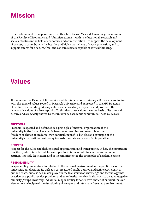### **Mission**

In accordance and in cooperation with other faculties of Masaryk University, the mission of the Faculty of Economics and Administration is – with its educational, research and social activities in the field of economics and administration – to support the development of society, to contribute to the healthy and high‑quality lives of every generation, and to support efforts for a secure, free, and cohesive society capable of critical thinking.

### **Values**

The values of the Faculty of Economics and Administration of Masaryk University are in line with the general values rooted in Masaryk University and expressed in the MU Strategic Plan. Since its founding, Masaryk University has always respected and professed the democratic values of a free republic. To this day, these values form the basis of its internal culture and are widely shared by the university's academic community. These values are:

### **FREEDOM**

Freedom, respected and defended as a principle of internal organization of the university in the form of academic freedom of teaching and research, or the freedom of choice of students' own curriculum profile, but also as a principle of the university's institutional autonomy towards the state and as a social imperative;

#### **RESPECT**

Respect for the rules establishing equal opportunities and transparency in how the institution functions, which is reflected, for example, in its internal administrative and economic settings, its study legislation, and in its commitment to the principles of academic ethics;

#### **RESPONSIBILITY**

Responsibility, understood in relation to the external environment as the public role of the university, emphasizing its task as a co‑creator of public opinion and active participant in public debate, but also as a major player in the transferral of knowledge and technology into practice, as a public service provider, and as an institution that is also open to disadvantaged or minority groups. Inwardly, individual responsibility for one's own choice of curriculum is an elementary principle of the functioning of an open and internally free study environment.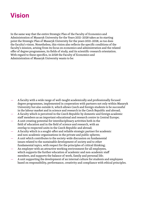### **Vision**

In the same way that the entire Strategic Plan of the Faculty of Economics and Administration of Masaryk University for the Years 2021–2028 takes as its starting point the Strategic Plan of Masaryk University for the years 2021–2028, so too does the faculty's vision. Nonetheless, this vision also reflects the specific conditions of the faculty's mission, arising from its focus on economics and administration and the related offer of degree programmes, its fields of study, and its scientific‑research orientation. With regard to these specifics, in 2028 the Faculty of Economics and Administration of Masaryk University wants to be:

- A faculty with a wide range of well-taught academically and professionally focused degree programmes, implemented in cooperation with partners not only within Masaryk University but also outside it, which allows Czech and foreign students to be successful in the labour market and in science and research in the Czech Republic and abroad;
- A faculty which is perceived in the Czech Republic by domestic and foreign academic staff members as an important educational and research centre in Central Europe;
- A unit creating potential for interdisciplinary activities both in the field of education and in the field of science and research, with an overlap to respected units in the Czech Republic and abroad;
- A faculty which is a sought‑after and reliable strategic partner for academic and non-academic organizations in the private and public spheres;
- A unit which contributes to the society-wide discussion on fundamental issues related to the sustainable development of society and to other fundamental topics, with respect for the principles of critical thinking;
- An employer with an attractive working environment for all employees, which supports the further education of academic and non-academic staff members, and supports the balance of work, family and personal life;
- A unit supporting the development of an internal culture for students and employees based on responsibility, performance, creativity and compliance with ethical principles.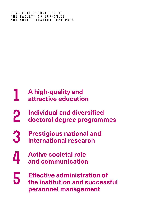Strategic priorities of the Faculty of Economics and Administration 2021–2028

### **A high‑quality and attractive education 1**

- **Individual and diversified doctoral degree programmes 2**
- **Prestigious national and international research 3**
- **Active societal role and communication 4**
- **Effective administration of the institution and successful personnel management 5**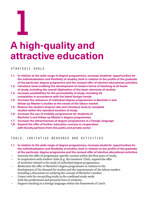**1**

# **A high‑quality and attractive education**

### Strategic goals

- **1.1 In relation to the wide range of degree programmes, increase students' opportunities for the individualization and flexibility of studies, both in relation to the profile of the graduate of the particular degree programme and the revised offer of elective educational activities**
- **1.2 Introduce tools enabling the development of modern forms of teaching at all levels of study, including the overall digitization of the basic elements of studies**
- **1.3 Increase possibilities for the permeability of study, including its completion in accordance with the latest foreign trends**
- **1.4 Increase the relevance of individual degree programmes in Bachelor's and follow‑up Master's studies to the needs of the labour market**
- **1.5 Reduce the student dropout rate and introduce tools to complete studies within the standard duration of study**
- **1.6 Increase the use of mobility programmes for students of Bachelor's and follow‑up Master's degree programmes**
- **1.7 Increase the attractiveness of degree programmes in a foreign language**
- **1.8 Expand the offer of further education courses in cooperation with faculty partners from the public and private sector**

### Tools, indicative measures and activities

- **1.1 In relation to the wide range of degree programmes, increase students' opportunities for the individualization and flexibility of studies, both in relation to the profile of the graduate of the particular degree programme and the revised offer of elective educational activities**
- Innovate the offer of programme-specific courses within the first years of study;
- In cooperation with student clubs (e.g. the Investors' Club), expand the offer of activities related to the study of individual degree programmes;
- Modernize the offer of Bachelor's degree programmes in relation to the development of the demand for studies and the requirements of the labour market, including a discussion on unifying the concept of Bachelor's studies;
- Create tools for reconciling study in the combined study mode with the professional and personal lives of students;
- Support teaching in a foreign language within the framework of Czech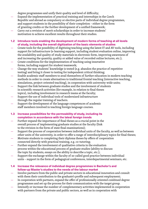degree programmes and unify their quality and level of difficulty;

- Expand the implementation of practical training and internships in the Czech Republic and abroad as compulsory or elective parts of individual degree programmes, and support students in the possibility of their completion – either in the form of granting credits or the further development of a unified framework;
- Carry out a revision of merit scholarships in order to increase students' motivation to achieve excellent results throughout their studies.
- **1.2 Introduce tools enabling the development of modern forms of teaching at all levels of study, including the overall digitization of the basic elements of studies**
- Create tools for the possibility of digitizing teaching using the latest IT and AV tools, including support for infrastructure (e‑learning support, including student evaluation online, improving the availability and quality of study materials in electronic form, improving awareness of and increasing the quantity, quality or added value of recorded online lectures, etc.);
- Create conditions for the implementation of teaching using innovative forms, including support for student teamwork;
- Change the way students' knowledge is tested (e.g. abandon the practice of repetitive testing) and bring it closer to testing for independent critical thinking;
- Enable academic staff members to avail themselves of further education in modern teaching methods in order to create alternatives to traditional frontal teaching (interactive teaching, simulations, project-oriented teaching), in cooperation with university-wide units;
- Support the link between graduate studies and the involvement of students in scientific research activities (for example, in relation to final theses topics), including involvement in research teams at the faculty;
- Support the use of individual tools of modernized infrastructure through the regular training of teachers.
- Support the development of the language competences of academic staff members involved in teaching foreign language courses.
- **1.3 Increase possibilities for the permeability of study, including its completion in accordance with the latest foreign trends**
- Further expand the importance of final theses as a crucial point in the overall process of implementing graduate studies at the faculty (link to the revision in the form of state final examinations);
- Support the process of cooperation between individual units of the faculty, as well as between other units of the university, in order to offer a range of interdisciplinary topics for final theses;
- Motivate students to completing their diploma theses by offers of cooperation connected directly with practical training, e.g. co-tutoring;
- Further expand the involvement of qualitative criteria in the evaluation process within the educational process of graduate studies (ability to discuss the topic by students, essays on the ability to describe a topic, etc.);
- Support the exchange within the faculty of so-called good practice between individual units – support in the form of pedagogical conferences, interdepartmental seminars, etc.
- **1.4 Increase the relevance of individual degree programmes in Bachelor's and follow‑up Master's studies to the needs of the labour market**
- Involve partners from the public and private sectors in educational innovation and consult with them their contribution to the graduate's profile and subsequent employment;
- In cooperation with partners, expand the offer of professionally oriented combined degree programmes and set up the process for their communication with the target group.
- Intensify or increase the number of complementary activities implemented in cooperation with partners from the private and public sectors, as well as in cooperation with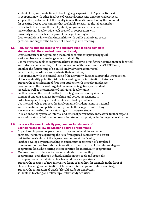student clubs, and create links to teaching (e.g. expansion of TopSec activities);

- In cooperation with other faculties of Masaryk University and external partners, support the involvement of the faculty in new thematic areas having the potential for creating degree programmes that are highly relevant to the labour market;
- Create tools to increase the employability of graduates in the labour market through faculty-wide tools created in cooperation with university units – such as the project manager training centre;
- Create conditions for teacher internships with public and private sector partners, and support the transfer of knowledge into teaching.

**1.5 Reduce the student dropout rate and introduce tools to complete studies within the standard duration of study**

- Create conditions for optimizing the number of students per pedagogical staff member and ensure long-term sustainability;
- Use motivational tools to support teachers' interest vis‑à-vis further education in pedagogical and didactic competencies, in close cooperation with the university's CERPEK unit; Stabilize the functioning of so-called study advisors at individual departments, coordinate and evaluate their activities;
- In cooperation with the central level of the university, further support the introduction of tools to identify potential risk factors leading to the termination of studies;
- Support the identification of first-year students with the relevant degree programme in the form of targeted mass events (e.g. first‑year student meets), as well as the activities of individual faculty units;
- Further develop the use of feedback tools (e.g. student surveys) in the context of ongoing changes in teaching and course assessments in order to respond to any critical points identified by students;
- Use internal tools to support the involvement of student teams in national and international competitions, and promote these opportunities long-‑term as a motivating factor – starting with first‑year students;
- In relation to the system of internal and external performance indicators, further expand work with data and information regarding student dropout, including regular evaluation.

### **1.6 Increase the use of mobility programmes for students of Bachelor's and follow‑up Master's degree programmes**

- Expand and improve cooperation with foreign universities and other partners, including expanding the list of recognized subjects with a direct link to the curriculum of the degree programme at the faculty;
- Further develop a system enabling the maximum recognition of completed courses and courses from abroad in relation to the structure of the relevant degree programme (including setting the cooperation for interfaculty programmes);
- Moreover, support the motivation of students to use mobility programmes, both through individual information tools and especially in cooperation with individual teachers and thesis supervisors;
- Support the creation of new innovative forms of mobility, for example in the form of blended learning (a combination of full-time internships and online teaching);
- Support the interaction of Czech (Slovak) students and foreign students in teaching and follow‑up elective study activities.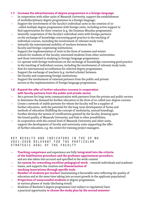### **1.7 Increase the attractiveness of degree programmes in a foreign language**

- In cooperation with other units of Masaryk University, support the establishment of multidisciplinary degree programmes in a foreign language;
- Support the involvement of the faculty's individual units in the creation of so-‑called multiple degree programmes with foreign units, including active support to find opportunities for their creation (e.g. the Erasmus Mundus programme);
- Intensify cooperation of the faculty's individual units with foreign partners on the exchange of knowledge concerning good practice in the teaching of individual courses, including the involvement of relevant study tools;
- Intensify the international mobility of teachers between the faculty and foreign cooperating institutions;
- Support the implementation of tools in the form of summer and winter schools for students of the faculty, interested students from other universities, and those interested in studying in foreign language programmes;
- Co‑operate with foreign institutions on the exchange of knowledge concerning good practice in the teaching of individual courses, including the involvement of relevant study tools;
- Aim for international accreditation for selected degree programmes;
- Support the exchange of teachers (e.g. invited scholar) between the faculty and cooperating foreign institutions;
- Support the involvement of external partners from the public and private sectors in the implementation of foreign language programmes.
- **1.8 Expand the offer of further education courses in cooperation with faculty partners from the public and private sector**
- Set a process for long-term communication with partners from the private and public sectors to determine the demand for further education in the form of so-called non-degree courses;
- Create a network of stable partners for whom the faculty will be a supplier of further education, with the potential for the long-term development of forms and methods of education (fulfilling the concept of modularity, mutual branding);
- Further develop the system of certifications granted by the faculty, drawing upon the brand quality of Masaryk University, and link to other possibilities;
- In cooperation with the central level of Masaryk University and other units, support the development of faculty and university units supporting the offer of further education, e.g. the centre for training project managers.

- **Teaching competence** and experience are fully **integrated into the criteria of the habilitation procedure and the professor appointment procedure**, and are also taken into account and specified in the work content
- Set **system for rewarding excellent pedagogical work** rewards individuals and academic
- teams, and supports the creation and **dissemination of teaching innovations through specific tools**
- **Number of students per teacher** (maintaining a favourable ratio reflecting the quality of education and at the same time taking into account growth in the applicant population)
- **Proportion of unsuccessful students** in degree programmes in various phases of study (declining trend)
- Students of Bachelor's degree programmes (not subject to regulation) have a practical opportunity **to choose the study plan by the second semester**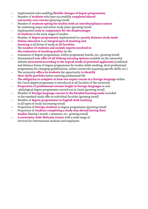- Implemented rules enabling **flexible changes of degree programmes**
- Number of **students** who have successfully **completed shared university core courses** (growing trend)
- Number of **students opting for studies with an interdisciplinary nature** by combining major and minor study plans (growing trend)
- Implemented **tools to compensate for the disadvantages of students** in the early stages of studies
- Number of **degree programmes** implemented in a **purely distance study mode**
- **Online education** is an **integral part of teaching and learning** in all forms of study **at all faculties**.
- The **number of students and outside experts involved in the evaluation of teaching quality** (in the
- evaluation of degree programmes, within programme boards, etc.; growing trend)
- Systematized **new offer of all lifelong learning options** available on the university website **structured according to the typical needs of potential applicants** (combined and distance forms of degree programmes for studies while working, short professional programmes for changing qualifications, online courses for acquiring specific skills, etc.)
- The university **offers its students** the opportunity **to identify their skills portfolio** before entering professional life
- **The obligation to complete at least one expert course in a foreign language** within the Czech degree programme is introduced at all faculties of the university
- **Proportion of professional courses taught in foreign languages** in non‑ ‑philological degree programmes carried out in Czech (growing trend)
- Number of **foreign language courses in the blended learning mode** included in the standard study offer at individual faculties (growing trend)
- Number of **degree programmes in English with teaching** in all types of study (increasing trend)
- Proportion of **foreign students** in degree programmes (growing trend)
- Proportion of **students completing a study stay abroad during their studies** (lasting 1 month, 1 semester, etc.; growing trend)
- **A university‑wide Welcome Centre** with a wide range of services for international students and employees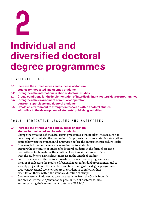

# **Individual and diversified doctoral degree programmes**

STRATEGIC GOALS

- **2.1 Increase the attractiveness and success of doctoral studies for motivated and talented students**
- **2.2 Strengthen the internationalization of doctoral studies**
- **2.3 Create conditions for the implementation of interdisciplinary doctoral degree programmes**
- **2.4 Strengthen the environment of mutual cooperation between supervisors and doctoral students**
- **2.5 Create an environment to strengthen research within doctoral studies with a link to the development of students' publishing activities**

### Tools, indicative measures and activities

### **2.1 Increase the attractiveness and success of doctoral studies for motivated and talented students**

- Change the structure of the admissions procedure so that it takes into account not only the quality but also the motivation of applicants for doctoral studies, strengthen contact between the student and supervisor before the admissions procedure itself;
- Create tools for monitoring and evaluating doctoral studies;
- Support the continuity of studies for doctoral students in the form of creating motivational tools enabling the solution of various situations associated with the study (e.g. a significant increase in the length of studies);
- Support the work of the doctoral boards of doctoral degree programmes with the aim of reflecting the results of feedback from individual programmes, and to actively project it onto the structure and functioning of the degree programme;
- Create motivational tools to support the student in completing their dissertation thesis within the standard duration of study;
- Create a system of addressing graduate students from the Czech Republic and abroad, introducing them to the possibilities of doctoral studies, and supporting their recruitment to study at FEA MU;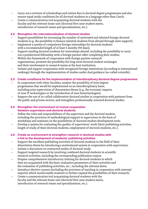- Carry out a revision of scholarships and tuition fees in doctoral degree programmes and also ensure equal study conditions for all doctoral students in a language other than Czech;
- Create a communication tool acquainting doctoral students with the faculty and the relevant home unit (doctoral first-year student meets, introduction of research teams and specializations, etc.).

### **2.2 Strengthen the internationalization of doctoral studies**

- Support possibilities for increasing the number of motivated and talented foreign doctoral students (e.g. the possibility to finance talented students from abroad through state support);
- Implement a system of compulsory foreign internships for doctoral students with a recommended length of at least 3 months (90 days);
- Support sending doctoral students for internships abroad, including the possibility to carry out a postdoctoral fellowship with a foreign partner after completing their studies;
- Within the framework of cooperation with foreign partner research organizations, promote the possibility for long‑term doctoral student exchanges and their involvement in research teams at the host institution;
- Initiate and support cooperation with recognized foreign institutions (according to international rankings) through the implementation of studies under dual guidance (so-called cotutelle).

### **2.3 Create conditions for the implementation of interdisciplinary doctoral degree programmes**

- In cooperation with other faculties, analyse the possibility of joint degree programmes that would be implemented on an interdisciplinary basis, including joint supervision of dissertation theses (e.g. the economic impacts of new IT technologies or the introduction of new biotechnologies);
- Support the use of so-called collaborative doctoral studies in cooperation with partners from the public and private sectors, and strengthen professionally oriented doctoral studies.

### **2.4 Strengthen the environment of mutual cooperation between supervisors and doctoral students**

- Define the roles and responsibilities of the supervisor and the doctoral student, including the provision of methodological support to supervisors in the form of workshops and seminars on the possibilities of doctoral student development tools;
- Develop a system for evaluating the quality of supervisors' work (their publishing activities, length of study of their doctoral students, employment of doctoral students, etc.).

### **2.5 Create an environment to strengthen research in doctoral studies with a link to the development of students' publishing activities**

- Support the excellent publishing activities of doctoral students in the field of their dissertation thesis by introducing a motivational system in cooperation with supervisors;
- Initiate a discussion on contracted modes of doctoral study;
- Support targeted research by involving combined doctoral students in scientific research activities, including the corresponding publication output;
- Prepare comprehensive introductory training for doctoral students in which they are acquainted with the basic evaluation parameters of their activities and the evaluation of publishing activities, etc., including the relevant dates;
- Introduce elective courses (including the provision of teaching in cooperation with external experts) which would enable students to further expand the possibilities of their research;
- Create a communication tool acquainting doctoral students with the faculty and the relevant home unit (doctoral first-year student meets, introduction of research teams and specializations, etc.).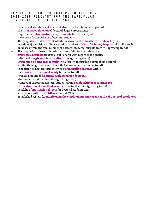- Established **standards of doctoral studies** at faculties also as **part of the internal evaluation** of doctoral degree programmes
- Implemented **standardized requirements** for the quality of the **work of supervisors** of doctoral students
- The proportion of **doctoral students' research outcomes** that are **indexed** by the world's major multidisciplinary citation databases (**Web of Science**, **Scopus** and similar such databases) from the total number of doctoral students' outputs from MU (growing trend)
- The proportion of research **publications of doctoral students in prestigious sources** (journals, publishers) with regard to the quality criteria of the **given scientific discipline** (growing trend)
- **Proportion of students completing** a foreign internship during their doctoral studies (in lengths of a min. 1 month, 1 semester, etc.; growing trend)
- Proportion of doctoral students who **successfully graduate** within the **standard duration of study** (growing trend)
- Average amount of **financial evaluation per doctoral student** at individual faculties (growing trend)
- Number of supported doctoral students from **scholarship programmes for the evaluation of excellent results** in doctoral studies (growing trend)
- Portfolio of **motivational tools** for doctoral students and supervisors within the **PhD academe** at MUNI
- Established system for **monitoring the employment and career paths of doctoral graduates**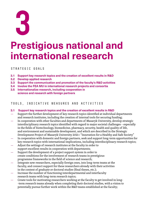**3**

# **Prestigious national and international research**

### Strategic goals

- **3.1 Support key research topics and the creation of excellent results in R&D**
- **3.2 Develop applied research**
- **3.3 Support the communication and promotion of the faculty's R&D activities**
- **3.4 Involve the FEA MU in international research projects and consortia**
- **3.5 Internationalize research, including cooperation in science and research with foreign partners**

### Tools, indicative measures and activities

- **3.1 Support key research topics and the creation of excellent results in R&D**
- Support the further development of key research topics identified at individual departments and research institutes, including the creation of internal tools for securing funding;
- In cooperation with other faculties and departments of Masaryk University, develop strategic interdisciplinary research topics identified with regard to major societal challenges – especially in the fields of biotechnology, biomedicine, pharmacy, security, health and quality of life, and environment and sustainable development, and which are described in the Strategic Development Project of Masaryk University 2021+ "Innovation for a Healthy and Safe Society"
- In cooperation with domestic and foreign partners, seek and support long-term opportunities for key research topics with international implications, including interdisciplinary research topics;
- Adjust the settings of research institutes at the faculty in order to support excellent results in cooperation with departments;
- Support the development of a project support system in order to create conditions for the involvement of research teams in prestigious programme frameworks in the field of science and research;
- Integrate new researchers, especially foreign ones, into long-term teams at the faculty, and connect support for these researchers already with their activities in the context of graduate or doctoral studies (final theses, etc.);
- Increase the number of functioning interdepartmental and interfaculty research teams with long-term research topics;
- Create tools for motivating researchers working at the faculty to get involved in long‑ ‑term research teams already when completing their doctoral studies, with a vision to potentially pursue further work within the R&D teams established at the faculty;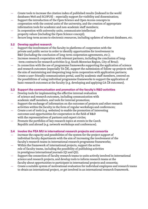- Create tools to increase the citation index of published results (indexed in the world databases WoS and SCOPUS) – especially support for visibility and dissemination;
- Support the introduction of the Open Science and Open Access concepts in cooperation with the central units of the university, and the creation of appropriate information tools for academic and non-academic staff members;
- In cooperation with university units, communicate intellectual
- property values (including the Open Science concept);
- Secure long-term access to electronic resources, including updates of relevant databases, etc.

### **3.2 Develop applied research**

- Support the involvement of the faculty in platforms of cooperation with the private and public sector in order to identify opportunities for involvement in R&D (including the conclusion of long-term cooperation agreements, etc.);
- Increase research cooperation with relevant partners, including the conclusion of long-‑term contracts for research activities (e.g. South Moravian Region, City of Brno);
- In connection with the use of programme frameworks supporting the application of science and research outcomes (especially TA ČR), support the submission of follow-up projects with the aim of maintaining and deepening long-term cooperation with application partners;
- Create a user‑friendly communication portal, used by academic staff members, centred on the possibilities of using individual programme frameworks to support the application of basic research outcomes at the faculty (e.g. developing and applying GA ČR outcomes).

### **3.3 Support the communication and promotion of the faculty's R&D activities**

- Develop tools for implementing the effective internal evaluation of science and research outcomes, including communication with academic staff members, and tools for internal promotion;
- Support the exchange of information on the outcomes of projects and other research activities within the faculty in the form of regular workshops and conferences;
- Create a set of tools (e.g. websites) to enable the promotion of interesting outcomes and opportunities for cooperation in the field of R&D with the representatives of partners and expert circles;
- Promote the portfolios of key research topics at events in the Czech Republic and abroad (e.g. network workshops and conferences).

### **3.4 Involve the FEA MU in international research projects and consortia**

- Increase the capacity and possibilities of the system for the project support of individual faculty departments with the aim of increasing the involvement of the faculty's research teams in international research programme frameworks;
- Within the framework of international projects, support the active role of faculty teams, including the possibility of publishing activities in prestigious international journals (Q1 and Q2);
- Support the connection of faculty research teams to units actively involved in international science and research projects, and develop tools to inform research teams at the faculty about opportunities to participate in international projects and consortia;
- Create a suitable system of motivational evaluation for individual employees and research teams to obtain an international project, or get involved in an international research framework.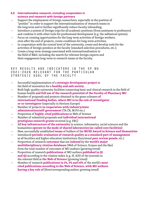### **3.5 Internationalize research, including cooperation in science and research with foreign partners**

- Support the employment of foreign researchers, especially in the position of "postdoc" in order to support the internationalization of research teams in the long term and to further significantly reduce faculty inbreeding;
- Introduce a system of foreign trips for all academic positions (from assistants to professors) and combine it with other tools for professional development (e.g. the sabbatical system);
- Focus on creating opportunities for the long-term activities of foreign workers, even after the end of projects, create conditions for long-term activities;
- In cooperation with the central level of the university, create and develop tools for the activities of foreign postdocs at the faculty (standard selection procedures, etc.);
- Create a long‑term strategy associated with internationalization in the field of R&D, including the search for relevant foreign experts and their engagement long‑term in research teams at the faculty.

- Successful implementation of a **strategic development project** in the field of innovation for a **healthy and safe society**
- Built high-quality university facilities connecting basic and clinical research in the field of human health **and full use of the research potential of the Faculty of Pharmacy MU**
- Number of proposals and projects obtained in the grant schemes **of international funding bodies, where MU is in the role of investigator or co-investigator** (especially in Horizon Europe)
- Number of projects **in cooperation with industry/state administration/self‑government** (TA ČR, M PO etc.)
- Proportion of **highly‑cited publications** in Web of Science
- Number of submitted proposals and **individual international prestigious research grants** received (e.g. ERC)
- All **key infrastructure of the university** in science, informatics, social sciences and the humanities **operate in the mode of shared laboratories (so‑called core facilities)**
- New, successfully established **teams** of holders of the **MUNI Award in Science and Humanities**
- Introduced **periodic evaluation of research quality as a standard part of management** at all faculties and higher education institutions (functional **peer review panels**, etc.)
- Proportion of research **outcomes** that are **indexed** by the **world's major multidisciplinary citation databases** (Web of Science, Scopus and the like) from the total number of outcomes of MU authors (growing trend)
- Proportion of research **publications** of MU authors **published in Q1 and Q2** according to the citation index (e.g. IF, AIS) of the journals in the relevant field at **the Web of Science** (growing trend)
- Number of research **publications in 1%, 5% and 10%** of the world's **most cited publications according to the Web of Science, with MU authors having a key role of** (first/corresponding author; growing trend)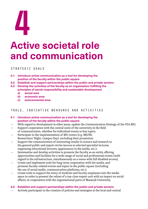# **Active societal role and communication**

### Strategic goals

- **4.1 Introduce active communication as a tool for developing the position of the faculty within the public square**
- **4.2 Establish and support partnerships within the public and private sectors**
- **4.3 Develop the activities of the faculty as an organization fulfilling the principles of social responsibility and sustainable development**
	- **a) social area**
	- **b) economic area**
	- **c) environmental area**

### Tools, indicative measures and activities

- **4.1 Introduce active communication as a tool for developing the position of the faculty within the public square**
- With regard to development in other areas, update the Communication Strategy of the FEA MU;
- Support cooperation with the central units of the university in the field
- of communication, whether for individual events or key topics; Participate in the implementation of MU events (e.g. MjUNI,
- Researchers' Night, Campus Day), including their promotion;
- Support the communication of interesting results in science and research to the general public and expert circles (access to selected specialist lectures, organizing educational lectures, appearances in the media, etc.);
- Systematize and develop activities to promote the faculty as an entity offering opportunities and facilities for a wide range of social and professional events (with regard to the infrastructure, simultaneously as a venue with full disabled access);
- Create and implement tools for long‑term cooperation with the media, and promote faculty-related events and topics in the public square (including the use of social media, communication platforms, etc.);
- Create tools to support the entry of students and faculty employees into the media space in order to present the values of a top-class expert unit with an impact on social affairs, in cooperation with the organizational parts of Masaryk University.

### **4.2 Establish and support partnerships within the public and private sectors**

— Actively participate in the creation of policies and strategies at the local and central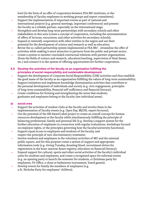level (in the form of an offer of cooperation between FEA MU institutes, or the membership of faculty employees in working groups and expert committees);

- Support the implementation of important events as part of national and
- international projects (e.g. general meetings, important conferences) and present the faculty as a reliable partner, especially on the international stage;
- Strengthen and develop long-term partnerships with secondary schools and other stakeholders in this area (create a concept of cooperation, including the systematization of offers of lectures, excursions, and other activities for secondary schools);
- Expand or intensify cooperation with other entities in the region and use their potential for the development of science and research as well as education;
- Revise the so-called partnership system implemented at FEA MU streamline the offer of activities while making it more attractive to partners from the public and private sector;
- Create a system to monitor concluded contractual relations with partner organizations (from the fields of science and research, education/teaching, supervision of final theses, etc.) and connect it to the system of offering opportunities for further cooperation.

### **4.3 Develop the activities of the faculty as an organization fulfilling the principles of social responsibility and sustainable development**

- Support the development of Corporate Social Responsibility (CSR) activities and thus establish the good name of the faculty as an organization fulfilling the values of long-term sustainability;
- Support initiatives and implement knowledge dissemination activities that contribute to the personal development of individuals and society (e.g. civic engagement, principles of long‑term sustainability, financial self‑sufficiency and financial literacy);
- Create conditions for forming and strengthening the sense that students, graduates and employees belong to the faculty (see individual areas).

### **a) social area**

- Support the activities of student clubs at the faculty and involve them in the implementation of faculty events (e.g. Open Day, MjUNI, expert lectures);
- Use the potential of the HR Award Label project to create an overall concept for human resources development at the faculty while simultaneously fulfilling the principle of balancing professional, family and personal life (e.g. develop a support system for the further education of employees in connection with regular evaluations, workshops focused on employee rights, or the principles governing how the faculty/university functions);
- Support equal access to employees and students of the faculty, and respect the principle of non-discriminatory treatment;
- Involve students and employees in the voluntary activities of MU and the external public square, and for this purpose create a system of support and appropriate information tools (e.g. Giving Tuesday, donating blood, recruitment drives for registration in the bone-marrow donor registry, education on financial literacy);
- Expand support for cultural, sports and other social activities of the faculty's individual units for students and employees, and create a recognized space for informal events (e.g. an opening party to launch the semester for students, a Christmas party for employees, Fit Office, a chess or badminton tournament, board games);
- Develop events for family the members of employees (e.g. a St. Nicholas Party for employees' children).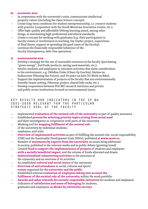### **b) economic area**

- In cooperation with the university's units, communicate intellectual property values (including the Open Science concept);
- Create long‑term conditions for student entrepreneurship, i.e. connect students with practice (cooperation with the South Moravian Innovation Centre, etc.);
- Offer high-quality and affordable lifelong learning aimed, among other things, at maintaining high professional and ethical standards;
- Create a concept for working with graduates (e.g. their participation in faculty events or involvement in teaching, the TopSec project, supervision of final theses, support in spreading the good name of the faculty);
- Continue the financially responsible behaviour of the faculty (transparency, debt-free operation).

### **c) environmental area**

- Develop a strategy for the use of renewable resources at the faculty (purchasing "green energy", FairTrade products, saving used materials, etc.);
- Involve students and employees in volunteer activities that show consideration to the environment, e.g. Ukliďme Česko (Clean Up Czechia), Sázíme na budoucnost (Planting the Future), and Do práce na kole (To Work on Bike);
- Support the implementation of projects at the faculty that are environmentally friendly (waste sorting, Filtermac project, shared bike racks, etc.);
- Develop cooperation between FEA MU research institutes and private and public sector institutions focused on environmental issues.

- Implemented **evaluation of the societal role of the university** as part of quality assurance
- Established **process for selecting priority topics arising from social need** and their investigation in cooperation with parts of the university
- Working tool for **mapping fulfilment of the societal role** of the university by individual students,
- employees, and units
- **Overview of implemented activities** as part of fulfilling the societal role, social responsibility (CSR) and the Sustainable Development Goals (SDGs), published at **[www.muni.cz](http://www.muni.cz)**
- Number of **statements by experts from the university** on issues being addressed in society, published in the relevant media and in public debate (growing trend)
- Created **fund to support the implementation of projects** of students and employees **with a socially beneficial impact**, and the volume of funds allocated and drawn
- **Institutionalized volunteering activities** in the structure of the university and an overview of its activities
- An established **cultural and social centre** of the university
- **Overview of and attendance** at social, cultural and sports **events** organized for the **university and the public**
- Established internal **evaluation of employees taking into account the fulfilment of the societal role of the university** within the work portfolio
- **Awards and other rewards for socially responsible initiatives** for students and employees
- Indicators of **satisfaction and sense of belonging** for students, graduates and employees, **as shown by university surveys**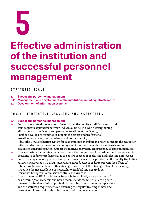

# **Effective administration of the institution and successful personnel management**

Strategic goals

- **5.1 Successful personnel management**
- **5.2 Management and development of the institution, including infrastructure**
- **5.3 Development of information systems**

### Tools, indicative measures and activities

### **5.1 Successful personnel management**

- Support the mutual cooperation of teams from the faculty's individual units and thus support cooperation between individual units, including strengthening affiliation with the faculty and personnel relations at the faculty;
- Further develop programmes to support the career and professional growth of employees, both academic and non‑academic;
- Adjust the EVAK evaluation system for academic staff members in order to simplify the evaluation criteria and optimize the remuneration system in connection with the employee's annual evaluation and performance (support the motivation system, transparency of environment, etc.);
- Create a system for training members of selection committees for academic and non‑academic positions in order to professionalize the entire process of recruiting and selecting employees;
- Support the system of open selection procedures for academic positions at the faculty (including advertising at other R&D units, advertising abroad, etc.) in order to prevent the effects of inbreeding (in connection to other strategic priorities of the Strategic Plan of the faculty);
- Introduce the HR Excellence in Research Award label and ensure long-‑term that European Commission continues to award it;
- In relation to the HR Excellence in Research Award label, create a system of basic training for academic and non‑academic staff members reflecting both the need for further minimal professional training in relation to their positions, and the statutory requirements on ensuring the regular training of new and present employees and having clear records of completed courses;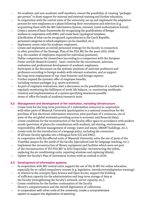- For academic and non-academic staff members, ensure the possibility of creating "packages" per person" to draw support for internal and external training and further education;
- In cooperation with the central units of the university, set up and implement the adaptation process for new employees as a phase following their recruitment and selection (e.g. acquainting them with the MU Information System, intranet, travel authorization forms);
- Create a system of basic frameworks for recognizing the qualifications of foreign workers in cooperation with RMU, and create basic typological templates (clarification of what can be recognized, equivalencies in the Czech Republic, personnel categories in which employees can be classified, etc.);
- Implement career rules for academic employees;
- Create and implement an overall personnel strategy for the faculty in connection to other priorities of the Strategic Plan of the FEA MU for the years 2021–2028 (e.g. the number of employees required for individual positions);
- Define competencies for researchers (according to a comparison with the *European Frame‑work for Research Careers*) – basic criteria for the recruitment, selection, evaluation and professional development of academic employees;
- Participate in the discussion on the systemic positions of associate professors and professors according to foreign models with relevant evaluation, and so support the long-term employment of top-class domestic and foreign experts;
- Further expand the systemic offer of employee benefits, including various packages (e.g. sports activities);
- As part of employee evaluations, start a discussion on the possibilities of a method for regularly monitoring the fulfilment of work-life balance, i.e. monitoring workloads;
- Creation and implementation of a system specifying maximum possible terms of office for heads of academic/research units.

### **5.2 Management and development of the institution, including infrastructure**

- Create tools for the long‑term provision of e‑information resources in cooperation with other parts of Masaryk University (participation in a national consortium for the purchase of key electronic information resources, joint purchase of e‑resources, use of state-of-the-art global terminals providing access to economic and financial data);
- Create conditions for the reconstruction of the faculty office space in accordance with modern trends (provision of places for consultations with students, job sharing, environmental responsibility, efficient management of energy, water and waste, SMART buildings, etc.);
- Create tools for the introduction of a *language policy*, including the conversion of all basic faculty agendas into a bilingual form (CZ and ENG);
- In cooperation with the affected units of Masaryk University, solve the use of parts of the Vinařská campus for the needs of the faculty (specialized unit for language teaching, etc.);
- Implement the reconstruction of library equipment and facilities which were not part of the reconstruction of SVI FEA MU in 2012 (especially: reconstructing the toilets, replacing the air conditioning units, repairing windows and replacing blinds);
- Update the faculty's Plan of Investment Actions with an outlook to 2030.

### **5.3 Development of information systems**

- In cooperation with MU central units, support the use of the IS MU for online education, especially for so-called compulsory courses (e.g. legislative, introductory/adaptation training);
- In relation to the concepts Open Science and Open Access, support the building of sufficient capacity for the administration and long‑term storage of data at the faculty (strengthening the faculty's network, server capacity, etc.);
- Create conditions for the further continuation of the faculty library's computerization and the overall digitization of collections;
- In cooperation with other units of the university, create a comprehensive system to support the digitization of teaching;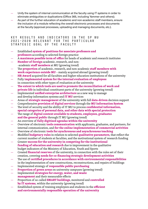- Unify the system of internal communication at the faculty using IT systems in order to eliminate ambiguities or duplications (Office 365, including Yammer and others);
- As part of the further education of academic and non-academic staff members, ensure the inclusion of a module reflecting the overall electronic processes and documents at the faculty (approval processes, uploading and managing documents, etc.).

- Established **system of positions for associate professors and professors** according to selected foreign practice
- A **maximum possible term of office** for heads of academic and research institutes
- **Number of foreign** academic, research, and non‑ ‑academic **staff members** at MU (growing trend)
- The **proportion** of academic, research, and non‑academic **staff members with work experience outside MU** – mainly acquired abroad (growing trend)
- **HR Award** acquired for all faculties and higher education institutions of the university
- Fully **implemented system for the internal evaluation of employees** in connection with other types of evaluation at the university
- **The extent to which tools are used to promote the reconciliation of work and private life** in individual constituent parts of the university (growing trend)
- Implemented **unified enterprise architecture** as a new way to manage and develop information systems and **IT MU** services
- Areas of **strategic management** of the university with full **data‑driven** decision support
- Comprehensive **provision of digital services** through the **MU Information System**
- The level of security and the ability of IT MU to process **confidential information, special categories of personal data, and other data with special protection**
- The range of **digital content available to students, employees, graduates and the general public** through IT MU (growing trend)
- An overview of **fully digitized agendas within the university**
- Overview of electronic **tools communication** with applicants, graduates, and partners, for internal communication, and **for the online implementation of commercial activities**
- Overview of electronic **tools for synchronous and asynchronous teaching**
- Modified **budgetary rules** in relation to selected **qualitative parameters**, that reflect the current number of students at faculties, and the motivational system of research funding
- Greater **success for the university in competing for the institutional funding of education and research** due to improvement in the qualitative budget indicators of the Ministry of Education, Youth and Sports
- Created **financial reserves** of the university, in connection with the rules set of their creation, covering **needs for co‑financing strategic development activities**
- The use of **certified procedures in accordance with environmental responsibilities** in the implementation of new constructions, reconstructions, and repairs of buildings
- Implemented strategy of **responsible public purchasing**
- **Proportion of green areas** on university campuses (growing trend)
- Implemented **strategies for energy, water, and waste management** and their measurable effects
- Proportion of so‑called **SMART buildings**, monitored and **controlled by IT systems**, within the university (growing trend)
- Established system of training employees and students in the **efficient and environmentally responsible operation of the university**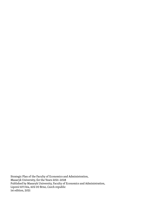Strategic Plan of the Faculty of Economics and Administration, Masaryk University, for the Years 2021–2028 Published by Masaryk University, Faculty of Economics and Administration, Lipová 507/41a, 602 00 Brno, Czech republic 1st edition, 2021